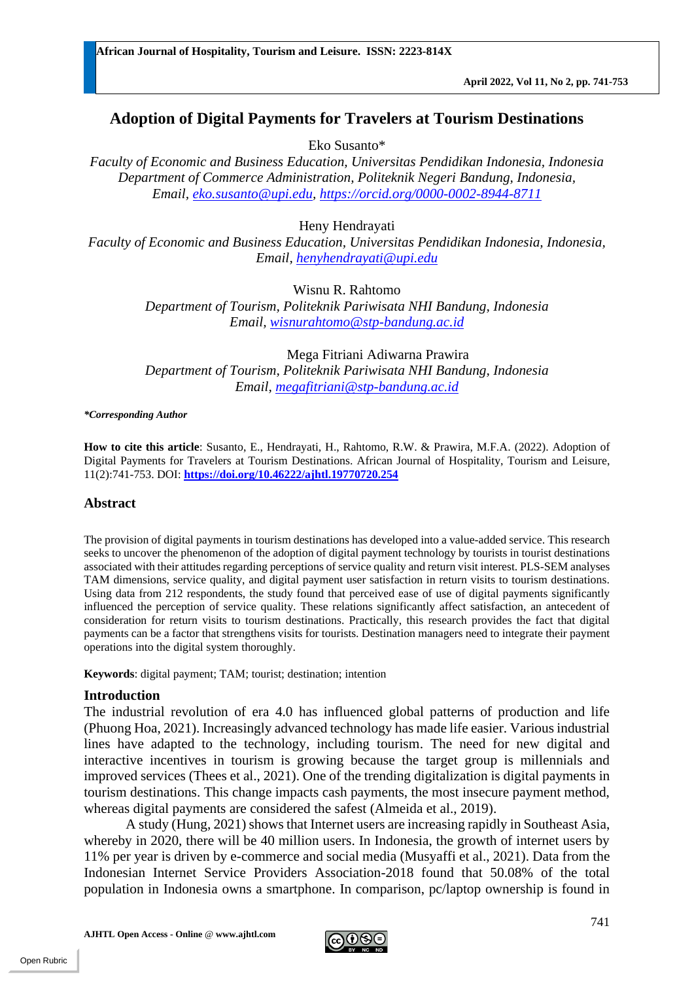# **Adoption of Digital Payments for Travelers at Tourism Destinations**

Eko Susanto\*

*Faculty of Economic and Business Education, Universitas Pendidikan Indonesia, Indonesia Department of Commerce Administration, Politeknik Negeri Bandung, Indonesia, Email, [eko.susanto@upi.edu,](mailto:eko.susanto@upi.edu) <https://orcid.org/0000-0002-8944-8711>*

Heny Hendrayati

*Faculty of Economic and Business Education, Universitas Pendidikan Indonesia, Indonesia, Email, [henyhendrayati@upi.edu](mailto:henyhendrayati@upi.edu)*

Wisnu R. Rahtomo

*Department of Tourism, Politeknik Pariwisata NHI Bandung, Indonesia Email, [wisnurahtomo@stp-bandung.ac.id](mailto:wisnurahtomo@stp-bandung.ac.id)*

Mega Fitriani Adiwarna Prawira *Department of Tourism, Politeknik Pariwisata NHI Bandung, Indonesia Email, [megafitriani@stp-bandung.ac.id](mailto:megafitriani@stp-bandung.ac.id)*

#### *\*Corresponding Author*

**How to cite this article**: Susanto, E., Hendrayati, H., Rahtomo, R.W. & Prawira, M.F.A. (2022). Adoption of Digital Payments for Travelers at Tourism Destinations. African Journal of Hospitality, Tourism and Leisure, 11(2):741-753. DOI: **<https://doi.org/10.46222/ajhtl.19770720.254>**

#### **Abstract**

The provision of digital payments in tourism destinations has developed into a value-added service. This research seeks to uncover the phenomenon of the adoption of digital payment technology by tourists in tourist destinations associated with their attitudes regarding perceptions of service quality and return visit interest. PLS-SEM analyses TAM dimensions, service quality, and digital payment user satisfaction in return visits to tourism destinations. Using data from 212 respondents, the study found that perceived ease of use of digital payments significantly influenced the perception of service quality. These relations significantly affect satisfaction, an antecedent of consideration for return visits to tourism destinations. Practically, this research provides the fact that digital payments can be a factor that strengthens visits for tourists. Destination managers need to integrate their payment operations into the digital system thoroughly.

**Keywords**: digital payment; TAM; tourist; destination; intention

#### **Introduction**

The industrial revolution of era 4.0 has influenced global patterns of production and life (Phuong Hoa, 2021). Increasingly advanced technology has made life easier. Various industrial lines have adapted to the technology, including tourism. The need for new digital and interactive incentives in tourism is growing because the target group is millennials and improved services (Thees et al., 2021). One of the trending digitalization is digital payments in tourism destinations. This change impacts cash payments, the most insecure payment method, whereas digital payments are considered the safest (Almeida et al., 2019).

A study (Hung, 2021) shows that Internet users are increasing rapidly in Southeast Asia, whereby in 2020, there will be 40 million users. In Indonesia, the growth of internet users by 11% per year is driven by e-commerce and social media (Musyaffi et al., 2021). Data from the Indonesian Internet Service Providers Association-2018 found that 50.08% of the total population in Indonesia owns a smartphone. In comparison, pc/laptop ownership is found in

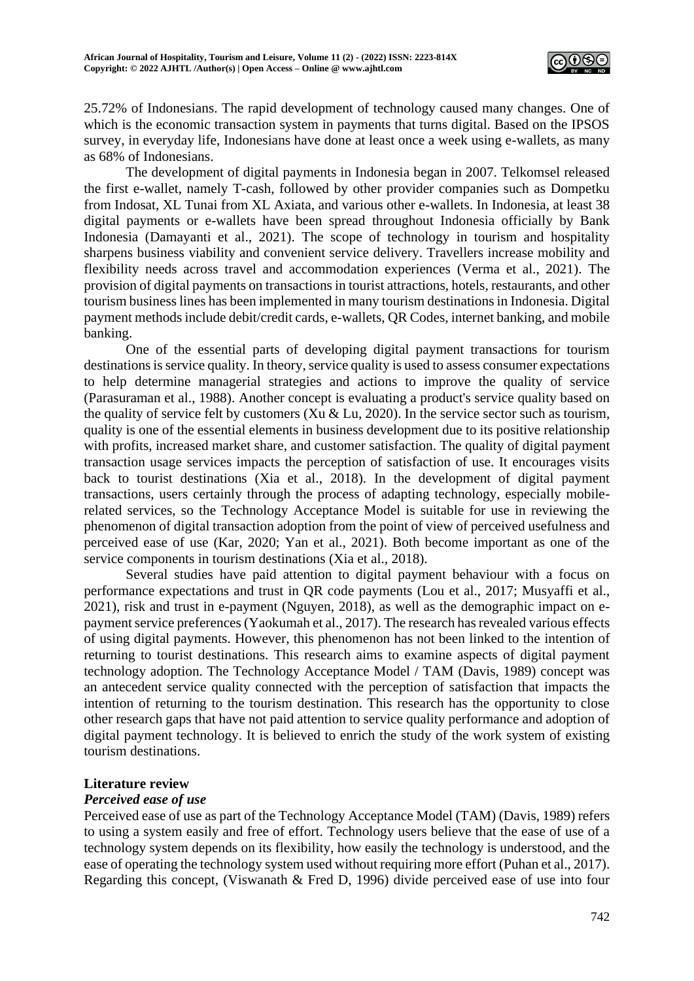

25.72% of Indonesians. The rapid development of technology caused many changes. One of which is the economic transaction system in payments that turns digital. Based on the IPSOS survey, in everyday life, Indonesians have done at least once a week using e-wallets, as many as 68% of Indonesians.

The development of digital payments in Indonesia began in 2007. Telkomsel released the first e-wallet, namely T-cash, followed by other provider companies such as Dompetku from Indosat, XL Tunai from XL Axiata, and various other e-wallets. In Indonesia, at least 38 digital payments or e-wallets have been spread throughout Indonesia officially by Bank Indonesia (Damayanti et al., 2021). The scope of technology in tourism and hospitality sharpens business viability and convenient service delivery. Travellers increase mobility and flexibility needs across travel and accommodation experiences (Verma et al., 2021). The provision of digital payments on transactions in tourist attractions, hotels, restaurants, and other tourism business lines has been implemented in many tourism destinations in Indonesia. Digital payment methods include debit/credit cards, e-wallets, QR Codes, internet banking, and mobile banking.

One of the essential parts of developing digital payment transactions for tourism destinations is service quality. In theory, service quality is used to assess consumer expectations to help determine managerial strategies and actions to improve the quality of service (Parasuraman et al., 1988). Another concept is evaluating a product's service quality based on the quality of service felt by customers (Xu & Lu, 2020). In the service sector such as tourism, quality is one of the essential elements in business development due to its positive relationship with profits, increased market share, and customer satisfaction. The quality of digital payment transaction usage services impacts the perception of satisfaction of use. It encourages visits back to tourist destinations (Xia et al., 2018). In the development of digital payment transactions, users certainly through the process of adapting technology, especially mobilerelated services, so the Technology Acceptance Model is suitable for use in reviewing the phenomenon of digital transaction adoption from the point of view of perceived usefulness and perceived ease of use (Kar, 2020; Yan et al., 2021). Both become important as one of the service components in tourism destinations (Xia et al., 2018).

Several studies have paid attention to digital payment behaviour with a focus on performance expectations and trust in QR code payments (Lou et al., 2017; Musyaffi et al., 2021), risk and trust in e-payment (Nguyen, 2018), as well as the demographic impact on epayment service preferences (Yaokumah et al., 2017). The research has revealed various effects of using digital payments. However, this phenomenon has not been linked to the intention of returning to tourist destinations. This research aims to examine aspects of digital payment technology adoption. The Technology Acceptance Model / TAM (Davis, 1989) concept was an antecedent service quality connected with the perception of satisfaction that impacts the intention of returning to the tourism destination. This research has the opportunity to close other research gaps that have not paid attention to service quality performance and adoption of digital payment technology. It is believed to enrich the study of the work system of existing tourism destinations.

# **Literature review**

# *Perceived ease of use*

Perceived ease of use as part of the Technology Acceptance Model (TAM) (Davis, 1989) refers to using a system easily and free of effort. Technology users believe that the ease of use of a technology system depends on its flexibility, how easily the technology is understood, and the ease of operating the technology system used without requiring more effort (Puhan et al., 2017). Regarding this concept, (Viswanath & Fred D, 1996) divide perceived ease of use into four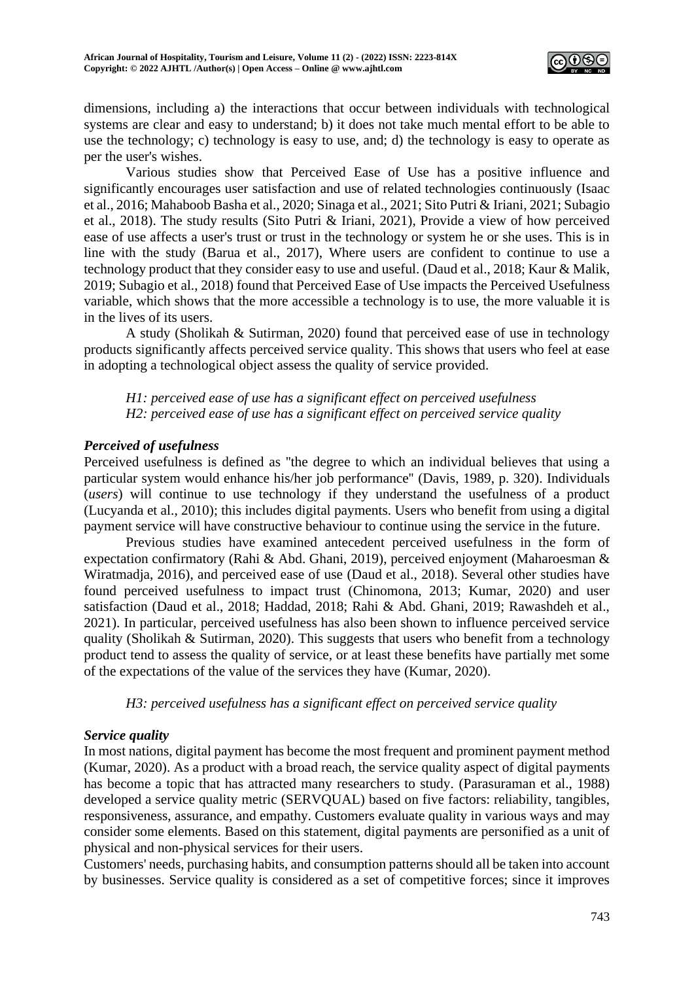

dimensions, including a) the interactions that occur between individuals with technological systems are clear and easy to understand; b) it does not take much mental effort to be able to use the technology; c) technology is easy to use, and; d) the technology is easy to operate as per the user's wishes.

Various studies show that Perceived Ease of Use has a positive influence and significantly encourages user satisfaction and use of related technologies continuously (Isaac et al., 2016; Mahaboob Basha et al., 2020; Sinaga et al., 2021; Sito Putri & Iriani, 2021; Subagio et al., 2018). The study results (Sito Putri & Iriani, 2021), Provide a view of how perceived ease of use affects a user's trust or trust in the technology or system he or she uses. This is in line with the study (Barua et al., 2017), Where users are confident to continue to use a technology product that they consider easy to use and useful. (Daud et al., 2018; Kaur & Malik, 2019; Subagio et al., 2018) found that Perceived Ease of Use impacts the Perceived Usefulness variable, which shows that the more accessible a technology is to use, the more valuable it is in the lives of its users.

A study (Sholikah & Sutirman, 2020) found that perceived ease of use in technology products significantly affects perceived service quality. This shows that users who feel at ease in adopting a technological object assess the quality of service provided.

*H1: perceived ease of use has a significant effect on perceived usefulness H2: perceived ease of use has a significant effect on perceived service quality*

# *Perceived of usefulness*

Perceived usefulness is defined as ''the degree to which an individual believes that using a particular system would enhance his/her job performance'' (Davis, 1989, p. 320). Individuals (*users*) will continue to use technology if they understand the usefulness of a product (Lucyanda et al., 2010); this includes digital payments. Users who benefit from using a digital payment service will have constructive behaviour to continue using the service in the future.

Previous studies have examined antecedent perceived usefulness in the form of expectation confirmatory (Rahi & Abd. Ghani, 2019), perceived enjoyment (Maharoesman & Wiratmadja, 2016), and perceived ease of use (Daud et al., 2018). Several other studies have found perceived usefulness to impact trust (Chinomona, 2013; Kumar, 2020) and user satisfaction (Daud et al., 2018; Haddad, 2018; Rahi & Abd. Ghani, 2019; Rawashdeh et al., 2021). In particular, perceived usefulness has also been shown to influence perceived service quality (Sholikah & Sutirman, 2020). This suggests that users who benefit from a technology product tend to assess the quality of service, or at least these benefits have partially met some of the expectations of the value of the services they have (Kumar, 2020).

*H3: perceived usefulness has a significant effect on perceived service quality*

### *Service quality*

In most nations, digital payment has become the most frequent and prominent payment method (Kumar, 2020). As a product with a broad reach, the service quality aspect of digital payments has become a topic that has attracted many researchers to study. (Parasuraman et al., 1988) developed a service quality metric (SERVQUAL) based on five factors: reliability, tangibles, responsiveness, assurance, and empathy. Customers evaluate quality in various ways and may consider some elements. Based on this statement, digital payments are personified as a unit of physical and non-physical services for their users.

Customers' needs, purchasing habits, and consumption patterns should all be taken into account by businesses. Service quality is considered as a set of competitive forces; since it improves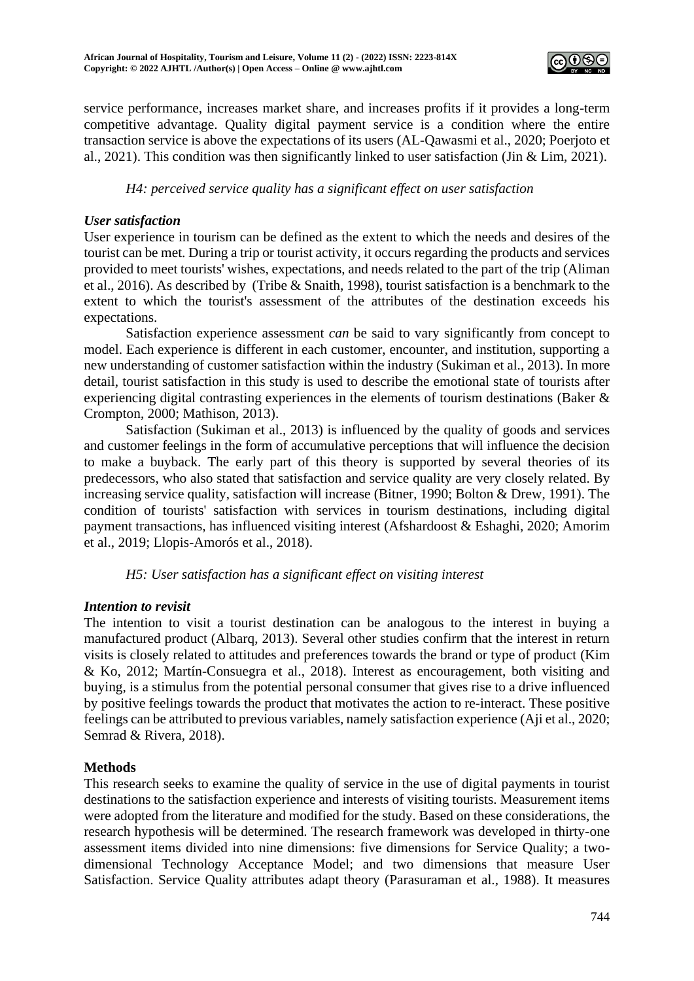

service performance, increases market share, and increases profits if it provides a long-term competitive advantage. Quality digital payment service is a condition where the entire transaction service is above the expectations of its users (AL-Qawasmi et al., 2020; Poerjoto et al., 2021). This condition was then significantly linked to user satisfaction (Jin & Lim, 2021).

*H4: perceived service quality has a significant effect on user satisfaction*

# *User satisfaction*

User experience in tourism can be defined as the extent to which the needs and desires of the tourist can be met. During a trip or tourist activity, it occurs regarding the products and services provided to meet tourists' wishes, expectations, and needs related to the part of the trip (Aliman et al., 2016). As described by (Tribe & Snaith, 1998), tourist satisfaction is a benchmark to the extent to which the tourist's assessment of the attributes of the destination exceeds his expectations.

Satisfaction experience assessment *can* be said to vary significantly from concept to model. Each experience is different in each customer, encounter, and institution, supporting a new understanding of customer satisfaction within the industry (Sukiman et al., 2013). In more detail, tourist satisfaction in this study is used to describe the emotional state of tourists after experiencing digital contrasting experiences in the elements of tourism destinations (Baker & Crompton, 2000; Mathison, 2013).

Satisfaction (Sukiman et al., 2013) is influenced by the quality of goods and services and customer feelings in the form of accumulative perceptions that will influence the decision to make a buyback. The early part of this theory is supported by several theories of its predecessors, who also stated that satisfaction and service quality are very closely related. By increasing service quality, satisfaction will increase (Bitner, 1990; Bolton & Drew, 1991). The condition of tourists' satisfaction with services in tourism destinations, including digital payment transactions, has influenced visiting interest (Afshardoost & Eshaghi, 2020; Amorim et al., 2019; Llopis-Amorós et al., 2018).

# *H5: User satisfaction has a significant effect on visiting interest*

# *Intention to revisit*

The intention to visit a tourist destination can be analogous to the interest in buying a manufactured product (Albarq, 2013). Several other studies confirm that the interest in return visits is closely related to attitudes and preferences towards the brand or type of product (Kim & Ko, 2012; Martín-Consuegra et al., 2018). Interest as encouragement, both visiting and buying, is a stimulus from the potential personal consumer that gives rise to a drive influenced by positive feelings towards the product that motivates the action to re-interact. These positive feelings can be attributed to previous variables, namely satisfaction experience (Aji et al., 2020; Semrad & Rivera, 2018).

# **Methods**

This research seeks to examine the quality of service in the use of digital payments in tourist destinations to the satisfaction experience and interests of visiting tourists. Measurement items were adopted from the literature and modified for the study. Based on these considerations, the research hypothesis will be determined. The research framework was developed in thirty-one assessment items divided into nine dimensions: five dimensions for Service Quality; a twodimensional Technology Acceptance Model; and two dimensions that measure User Satisfaction. Service Quality attributes adapt theory (Parasuraman et al., 1988). It measures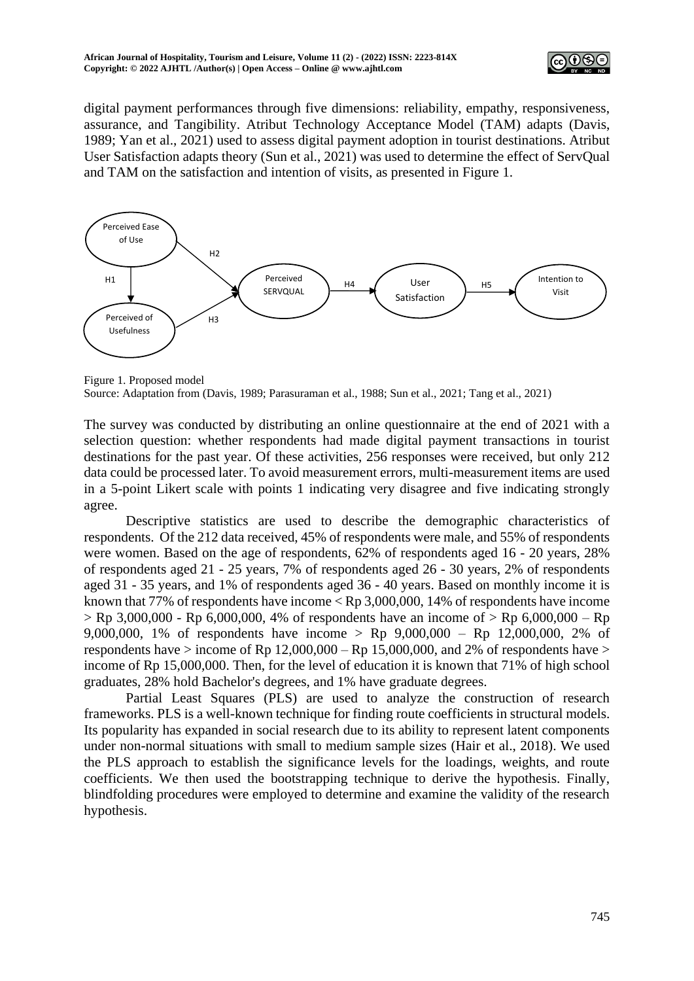

digital payment performances through five dimensions: reliability, empathy, responsiveness, assurance, and Tangibility. Atribut Technology Acceptance Model (TAM) adapts (Davis, 1989; Yan et al., 2021) used to assess digital payment adoption in tourist destinations. Atribut User Satisfaction adapts theory (Sun et al., 2021) was used to determine the effect of ServQual and TAM on the satisfaction and intention of visits, as presented in Figure 1.



Figure 1. Proposed model Source: Adaptation from (Davis, 1989; Parasuraman et al., 1988; Sun et al., 2021; Tang et al., 2021)

The survey was conducted by distributing an online questionnaire at the end of 2021 with a selection question: whether respondents had made digital payment transactions in tourist destinations for the past year. Of these activities, 256 responses were received, but only 212 data could be processed later. To avoid measurement errors, multi-measurement items are used in a 5-point Likert scale with points 1 indicating very disagree and five indicating strongly agree.

Descriptive statistics are used to describe the demographic characteristics of respondents. Of the 212 data received, 45% of respondents were male, and 55% of respondents were women. Based on the age of respondents, 62% of respondents aged 16 - 20 years, 28% of respondents aged 21 - 25 years, 7% of respondents aged 26 - 30 years, 2% of respondents aged 31 - 35 years, and 1% of respondents aged 36 - 40 years. Based on monthly income it is known that 77% of respondents have income  $\langle$  Rp 3,000,000, 14% of respondents have income  $>$  Rp 3,000,000 - Rp 6,000,000, 4% of respondents have an income of  $>$  Rp 6,000,000 – Rp 9,000,000, 1% of respondents have income > Rp 9,000,000 – Rp 12,000,000, 2% of respondents have  $>$  income of Rp 12,000,000 – Rp 15,000,000, and 2% of respondents have  $>$ income of Rp 15,000,000. Then, for the level of education it is known that 71% of high school graduates, 28% hold Bachelor's degrees, and 1% have graduate degrees.

Partial Least Squares (PLS) are used to analyze the construction of research frameworks. PLS is a well-known technique for finding route coefficients in structural models. Its popularity has expanded in social research due to its ability to represent latent components under non-normal situations with small to medium sample sizes (Hair et al., 2018). We used the PLS approach to establish the significance levels for the loadings, weights, and route coefficients. We then used the bootstrapping technique to derive the hypothesis. Finally, blindfolding procedures were employed to determine and examine the validity of the research hypothesis.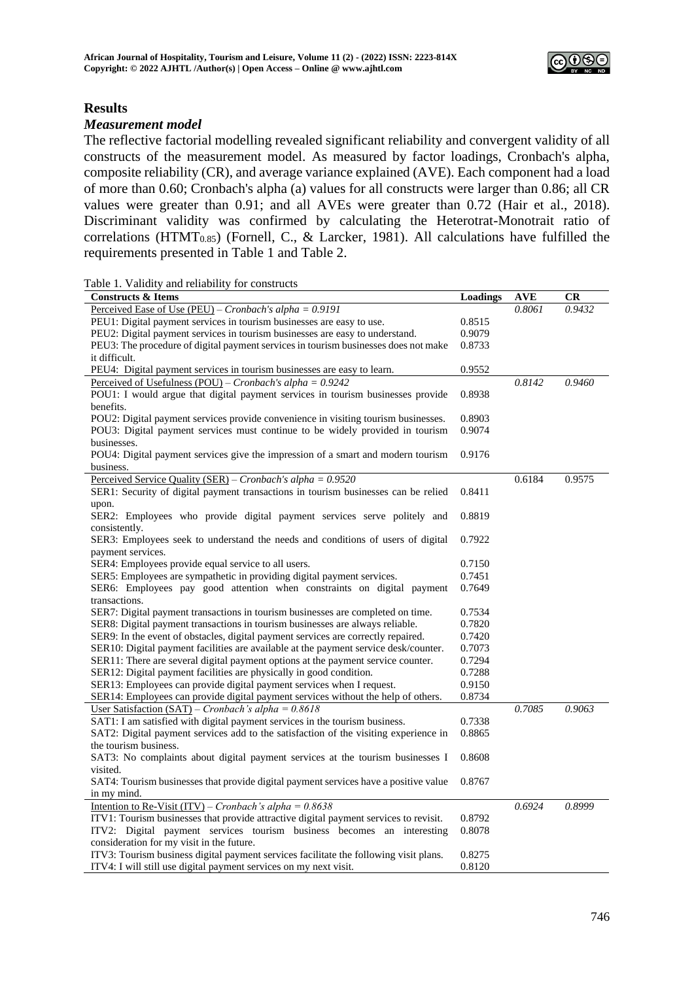

### **Results**

### *Measurement model*

The reflective factorial modelling revealed significant reliability and convergent validity of all constructs of the measurement model. As measured by factor loadings, Cronbach's alpha, composite reliability (CR), and average variance explained (AVE). Each component had a load of more than 0.60; Cronbach's alpha (a) values for all constructs were larger than 0.86; all CR values were greater than 0.91; and all AVEs were greater than 0.72 (Hair et al., 2018). Discriminant validity was confirmed by calculating the Heterotrat-Monotrait ratio of correlations (HTMT0.85) (Fornell, C., & Larcker, 1981). All calculations have fulfilled the requirements presented in Table 1 and Table 2.

Table 1. Validity and reliability for constructs

| raoic 1. Tandrey and remadinty for constructs<br><b>Constructs &amp; Items</b>        | Loadings | $\mathbf{AVE}$ | CR     |
|---------------------------------------------------------------------------------------|----------|----------------|--------|
| Perceived Ease of Use (PEU) – Cronbach's alpha = $0.9191$                             |          | 0.8061         | 0.9432 |
| PEU1: Digital payment services in tourism businesses are easy to use.                 | 0.8515   |                |        |
| PEU2: Digital payment services in tourism businesses are easy to understand.          | 0.9079   |                |        |
| PEU3: The procedure of digital payment services in tourism businesses does not make   | 0.8733   |                |        |
| it difficult.                                                                         |          |                |        |
| PEU4: Digital payment services in tourism businesses are easy to learn.               | 0.9552   |                |        |
| Perceived of Usefulness (POU) – Cronbach's alpha = $0.9242$                           |          | 0.8142         | 0.9460 |
| POU1: I would argue that digital payment services in tourism businesses provide       | 0.8938   |                |        |
| benefits.                                                                             |          |                |        |
| POU2: Digital payment services provide convenience in visiting tourism businesses.    | 0.8903   |                |        |
| POU3: Digital payment services must continue to be widely provided in tourism         | 0.9074   |                |        |
| businesses.                                                                           |          |                |        |
| POU4: Digital payment services give the impression of a smart and modern tourism      | 0.9176   |                |        |
| business.                                                                             |          |                |        |
| Perceived Service Quality (SER) – Cronbach's alpha = $0.9520$                         |          | 0.6184         | 0.9575 |
| SER1: Security of digital payment transactions in tourism businesses can be relied    | 0.8411   |                |        |
| upon.                                                                                 |          |                |        |
| SER2: Employees who provide digital payment services serve politely and               | 0.8819   |                |        |
| consistently.                                                                         |          |                |        |
| SER3: Employees seek to understand the needs and conditions of users of digital       | 0.7922   |                |        |
| payment services.                                                                     |          |                |        |
| SER4: Employees provide equal service to all users.                                   | 0.7150   |                |        |
| SER5: Employees are sympathetic in providing digital payment services.                | 0.7451   |                |        |
| SER6: Employees pay good attention when constraints on digital payment                | 0.7649   |                |        |
| transactions.                                                                         |          |                |        |
| SER7: Digital payment transactions in tourism businesses are completed on time.       | 0.7534   |                |        |
| SER8: Digital payment transactions in tourism businesses are always reliable.         | 0.7820   |                |        |
| SER9: In the event of obstacles, digital payment services are correctly repaired.     | 0.7420   |                |        |
| SER10: Digital payment facilities are available at the payment service desk/counter.  | 0.7073   |                |        |
| SER11: There are several digital payment options at the payment service counter.      | 0.7294   |                |        |
| SER12: Digital payment facilities are physically in good condition.                   | 0.7288   |                |        |
| SER13: Employees can provide digital payment services when I request.                 | 0.9150   |                |        |
| SER14: Employees can provide digital payment services without the help of others.     | 0.8734   |                |        |
| User Satisfaction (SAT) – Cronbach's alpha = $0.8618$                                 |          | 0.7085         | 0.9063 |
| SAT1: I am satisfied with digital payment services in the tourism business.           | 0.7338   |                |        |
| SAT2: Digital payment services add to the satisfaction of the visiting experience in  | 0.8865   |                |        |
| the tourism business.                                                                 |          |                |        |
| SAT3: No complaints about digital payment services at the tourism businesses I        | 0.8608   |                |        |
| visited.                                                                              |          |                |        |
| SAT4: Tourism businesses that provide digital payment services have a positive value  | 0.8767   |                |        |
| in my mind.                                                                           |          |                |        |
| Intention to Re-Visit (ITV) – Cronbach's alpha = $0.8638$                             |          | 0.6924         | 0.8999 |
| ITV1: Tourism businesses that provide attractive digital payment services to revisit. | 0.8792   |                |        |
| ITV2: Digital payment services tourism business becomes an interesting                | 0.8078   |                |        |
| consideration for my visit in the future.                                             |          |                |        |
| ITV3: Tourism business digital payment services facilitate the following visit plans. | 0.8275   |                |        |
| ITV4: I will still use digital payment services on my next visit.                     | 0.8120   |                |        |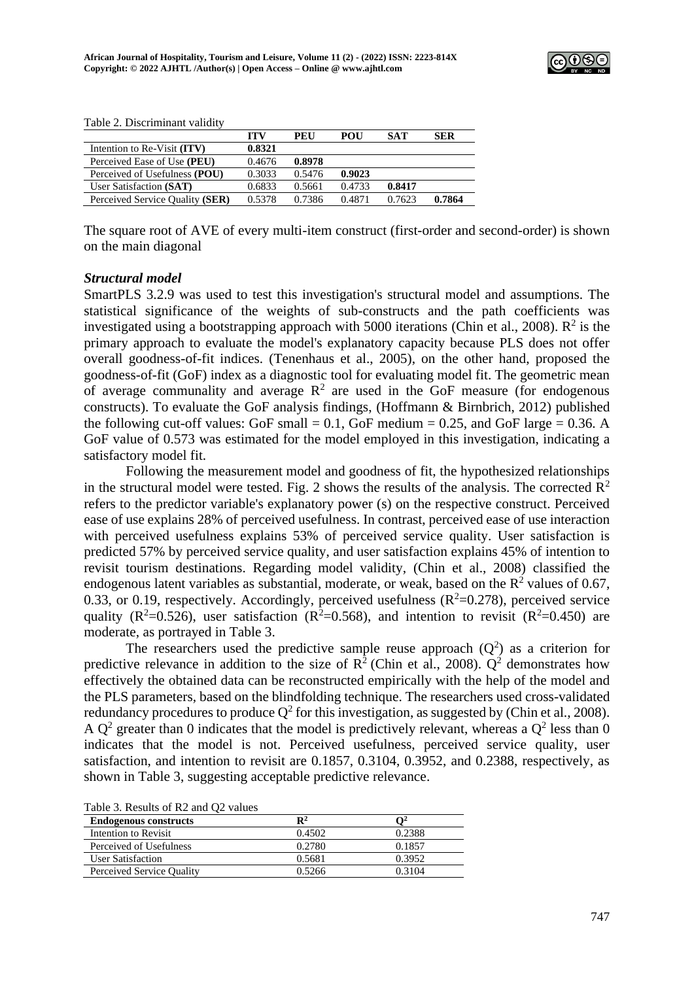

| 0.8321<br>0.8978<br>0.4676 |                            |                            |        |
|----------------------------|----------------------------|----------------------------|--------|
|                            |                            |                            |        |
|                            |                            |                            |        |
|                            | 0.9023                     |                            |        |
|                            | 0.4733                     | 0.8417                     |        |
|                            | 0.4871                     | 0.7623                     | 0.7864 |
|                            | 0.3033<br>0.6833<br>0.5378 | 0.5476<br>0.5661<br>0.7386 |        |

Table 2. Discriminant validity

The square root of AVE of every multi-item construct (first-order and second-order) is shown on the main diagonal

### *Structural model*

SmartPLS 3.2.9 was used to test this investigation's structural model and assumptions. The statistical significance of the weights of sub-constructs and the path coefficients was investigated using a bootstrapping approach with 5000 iterations (Chin et al., 2008).  $\mathbb{R}^2$  is the primary approach to evaluate the model's explanatory capacity because PLS does not offer overall goodness-of-fit indices. (Tenenhaus et al., 2005), on the other hand, proposed the goodness-of-fit (GoF) index as a diagnostic tool for evaluating model fit. The geometric mean of average communality and average  $\mathbb{R}^2$  are used in the GoF measure (for endogenous constructs). To evaluate the GoF analysis findings, (Hoffmann & Birnbrich, 2012) published the following cut-off values: GoF small  $= 0.1$ , GoF medium  $= 0.25$ , and GoF large  $= 0.36$ . A GoF value of 0.573 was estimated for the model employed in this investigation, indicating a satisfactory model fit.

Following the measurement model and goodness of fit, the hypothesized relationships in the structural model were tested. Fig. 2 shows the results of the analysis. The corrected  $\mathbb{R}^2$ refers to the predictor variable's explanatory power (s) on the respective construct. Perceived ease of use explains 28% of perceived usefulness. In contrast, perceived ease of use interaction with perceived usefulness explains 53% of perceived service quality. User satisfaction is predicted 57% by perceived service quality, and user satisfaction explains 45% of intention to revisit tourism destinations. Regarding model validity, (Chin et al., 2008) classified the endogenous latent variables as substantial, moderate, or weak, based on the  $R^2$  values of 0.67, 0.33, or 0.19, respectively. Accordingly, perceived usefulness ( $R^2$ =0.278), perceived service quality ( $\mathbb{R}^2$ =0.526), user satisfaction ( $\mathbb{R}^2$ =0.568), and intention to revisit ( $\mathbb{R}^2$ =0.450) are moderate, as portrayed in Table 3.

The researchers used the predictive sample reuse approach  $(Q^2)$  as a criterion for predictive relevance in addition to the size of  $\mathbb{R}^2$  (Chin et al., 2008).  $\mathbb{Q}^2$  demonstrates how effectively the obtained data can be reconstructed empirically with the help of the model and the PLS parameters, based on the blindfolding technique. The researchers used cross-validated redundancy procedures to produce  $Q^2$  for this investigation, as suggested by (Chin et al., 2008). A  $Q^2$  greater than 0 indicates that the model is predictively relevant, whereas a  $Q^2$  less than 0 indicates that the model is not. Perceived usefulness, perceived service quality, user satisfaction, and intention to revisit are 0.1857, 0.3104, 0.3952, and 0.2388, respectively, as shown in Table 3, suggesting acceptable predictive relevance.

| <b>Endogenous constructs</b> | $\mathbf{R}^2$ |        |
|------------------------------|----------------|--------|
| Intention to Revisit         | 0.4502         | 0.2388 |
| Perceived of Usefulness      | 0.2780         | 0.1857 |
| User Satisfaction            | 0.5681         | 0.3952 |
| Perceived Service Quality    | በ 5266         | 0.3104 |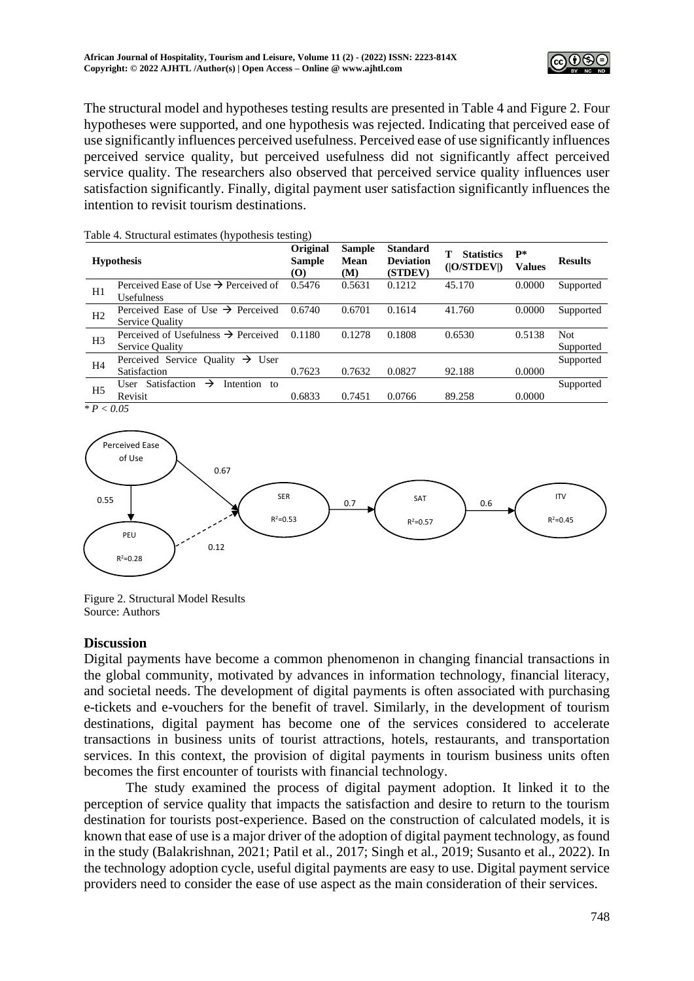

The structural model and hypotheses testing results are presented in Table 4 and Figure 2. Four hypotheses were supported, and one hypothesis was rejected. Indicating that perceived ease of use significantly influences perceived usefulness. Perceived ease of use significantly influences perceived service quality, but perceived usefulness did not significantly affect perceived service quality. The researchers also observed that perceived service quality influences user satisfaction significantly. Finally, digital payment user satisfaction significantly influences the intention to revisit tourism destinations.

|                | <b>Hypothesis</b>                                                         | Original<br><b>Sample</b><br>(O) | <b>Sample</b><br>Mean<br>(M) | <b>Standard</b><br><b>Deviation</b><br>(STDEV) | <b>Statistics</b><br>( O/STDEV ) | $P^*$<br><b>Values</b> | <b>Results</b>          |
|----------------|---------------------------------------------------------------------------|----------------------------------|------------------------------|------------------------------------------------|----------------------------------|------------------------|-------------------------|
| H1             | Perceived Ease of Use $\rightarrow$ Perceived of<br>Usefulness            | 0.5476                           | 0.5631                       | 0.1212                                         | 45.170                           | 0.0000                 | Supported               |
| H <sub>2</sub> | Perceived Ease of Use $\rightarrow$ Perceived<br><b>Service Quality</b>   | 0.6740                           | 0.6701                       | 0.1614                                         | 41.760                           | 0.0000                 | Supported               |
| H <sub>3</sub> | Perceived of Usefulness $\rightarrow$ Perceived<br><b>Service Quality</b> | 0.1180                           | 0.1278                       | 0.1808                                         | 0.6530                           | 0.5138                 | <b>Not</b><br>Supported |
| H4             | Perceived Service Quality $\rightarrow$ User<br>Satisfaction              | 0.7623                           | 0.7632                       | 0.0827                                         | 92.188                           | 0.0000                 | Supported               |
| H <sub>5</sub> | Satisfaction<br>Intention to<br>→<br>User<br>Revisit                      | 0.6833                           | 0.7451                       | 0.0766                                         | 89.258                           | 0.0000                 | Supported               |
| $* P < 0.05$   |                                                                           |                                  |                              |                                                |                                  |                        |                         |

Table 4. Structural estimates (hypothesis testing)



Figure 2. Structural Model Results Source: Authors

# **Discussion**

Digital payments have become a common phenomenon in changing financial transactions in the global community, motivated by advances in information technology, financial literacy, and societal needs. The development of digital payments is often associated with purchasing e-tickets and e-vouchers for the benefit of travel. Similarly, in the development of tourism destinations, digital payment has become one of the services considered to accelerate transactions in business units of tourist attractions, hotels, restaurants, and transportation services. In this context, the provision of digital payments in tourism business units often becomes the first encounter of tourists with financial technology.

The study examined the process of digital payment adoption. It linked it to the perception of service quality that impacts the satisfaction and desire to return to the tourism destination for tourists post-experience. Based on the construction of calculated models, it is known that ease of use is a major driver of the adoption of digital payment technology, as found in the study (Balakrishnan, 2021; Patil et al., 2017; Singh et al., 2019; Susanto et al., 2022). In the technology adoption cycle, useful digital payments are easy to use. Digital payment service providers need to consider the ease of use aspect as the main consideration of their services.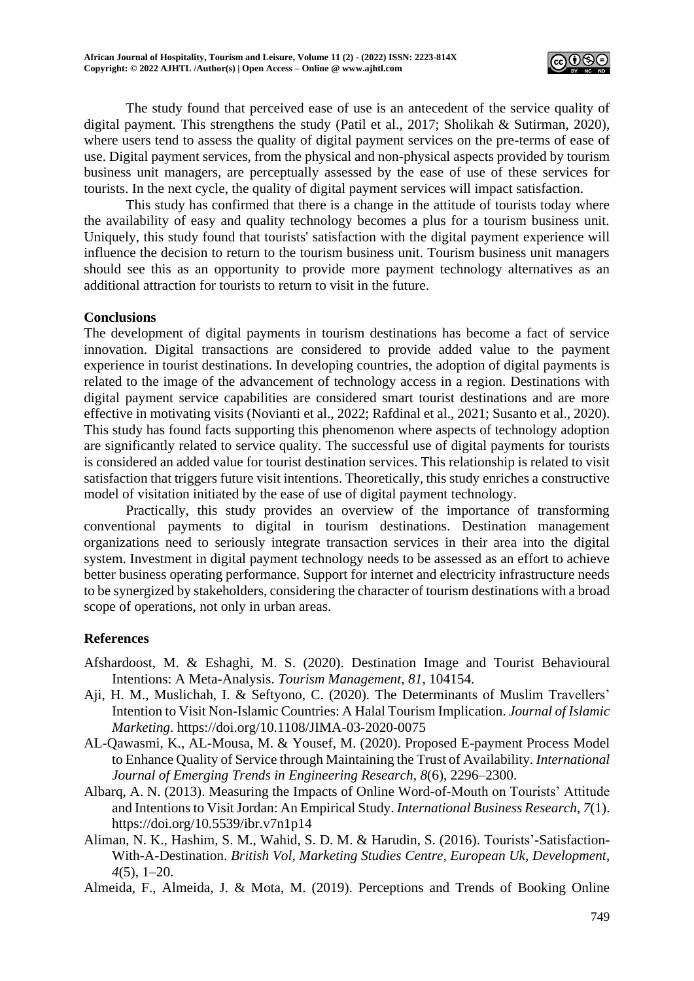

The study found that perceived ease of use is an antecedent of the service quality of digital payment. This strengthens the study (Patil et al., 2017; Sholikah & Sutirman, 2020), where users tend to assess the quality of digital payment services on the pre-terms of ease of use. Digital payment services, from the physical and non-physical aspects provided by tourism business unit managers, are perceptually assessed by the ease of use of these services for tourists. In the next cycle, the quality of digital payment services will impact satisfaction.

This study has confirmed that there is a change in the attitude of tourists today where the availability of easy and quality technology becomes a plus for a tourism business unit. Uniquely, this study found that tourists' satisfaction with the digital payment experience will influence the decision to return to the tourism business unit. Tourism business unit managers should see this as an opportunity to provide more payment technology alternatives as an additional attraction for tourists to return to visit in the future.

### **Conclusions**

The development of digital payments in tourism destinations has become a fact of service innovation. Digital transactions are considered to provide added value to the payment experience in tourist destinations. In developing countries, the adoption of digital payments is related to the image of the advancement of technology access in a region. Destinations with digital payment service capabilities are considered smart tourist destinations and are more effective in motivating visits (Novianti et al., 2022; Rafdinal et al., 2021; Susanto et al., 2020). This study has found facts supporting this phenomenon where aspects of technology adoption are significantly related to service quality. The successful use of digital payments for tourists is considered an added value for tourist destination services. This relationship is related to visit satisfaction that triggers future visit intentions. Theoretically, this study enriches a constructive model of visitation initiated by the ease of use of digital payment technology.

Practically, this study provides an overview of the importance of transforming conventional payments to digital in tourism destinations. Destination management organizations need to seriously integrate transaction services in their area into the digital system. Investment in digital payment technology needs to be assessed as an effort to achieve better business operating performance. Support for internet and electricity infrastructure needs to be synergized by stakeholders, considering the character of tourism destinations with a broad scope of operations, not only in urban areas.

### **References**

- Afshardoost, M. & Eshaghi, M. S. (2020). Destination Image and Tourist Behavioural Intentions: A Meta-Analysis. *Tourism Management*, *81*, 104154.
- Aji, H. M., Muslichah, I. & Seftyono, C. (2020). The Determinants of Muslim Travellers' Intention to Visit Non-Islamic Countries: A Halal Tourism Implication. *Journal of Islamic Marketing*. https://doi.org/10.1108/JIMA-03-2020-0075
- AL-Qawasmi, K., AL-Mousa, M. & Yousef, M. (2020). Proposed E-payment Process Model to Enhance Quality of Service through Maintaining the Trust of Availability. *International Journal of Emerging Trends in Engineering Research*, *8*(6), 2296–2300.
- Albarq, A. N. (2013). Measuring the Impacts of Online Word-of-Mouth on Tourists' Attitude and Intentions to Visit Jordan: An Empirical Study. *International Business Research*, *7*(1). https://doi.org/10.5539/ibr.v7n1p14
- Aliman, N. K., Hashim, S. M., Wahid, S. D. M. & Harudin, S. (2016). Tourists'-Satisfaction-With-A-Destination. *British Vol, Marketing Studies Centre, European Uk, Development*, *4*(5), 1–20.
- Almeida, F., Almeida, J. & Mota, M. (2019). Perceptions and Trends of Booking Online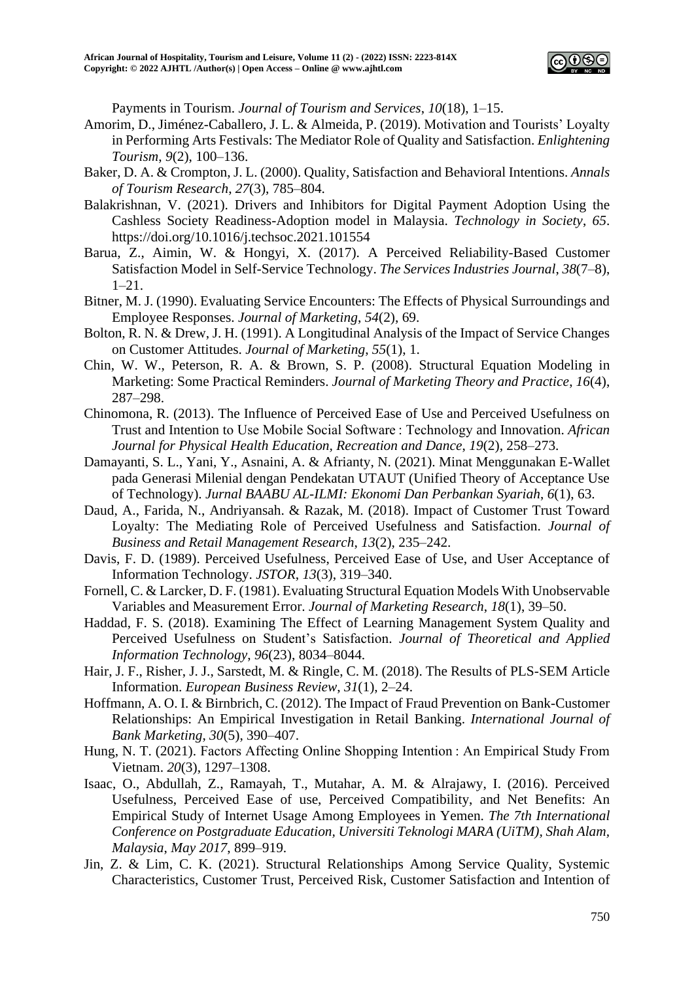

Payments in Tourism. *Journal of Tourism and Services*, *10*(18), 1–15.

- Amorim, D., Jiménez-Caballero, J. L. & Almeida, P. (2019). Motivation and Tourists' Loyalty in Performing Arts Festivals: The Mediator Role of Quality and Satisfaction. *Enlightening Tourism*, *9*(2), 100–136.
- Baker, D. A. & Crompton, J. L. (2000). Quality, Satisfaction and Behavioral Intentions. *Annals of Tourism Research*, *27*(3), 785–804.
- Balakrishnan, V. (2021). Drivers and Inhibitors for Digital Payment Adoption Using the Cashless Society Readiness-Adoption model in Malaysia. *Technology in Society*, *65*. https://doi.org/10.1016/j.techsoc.2021.101554
- Barua, Z., Aimin, W. & Hongyi, X. (2017). A Perceived Reliability-Based Customer Satisfaction Model in Self-Service Technology. *The Services Industries Journal*, *38*(7–8), 1–21.
- Bitner, M. J. (1990). Evaluating Service Encounters: The Effects of Physical Surroundings and Employee Responses. *Journal of Marketing*, *54*(2), 69.
- Bolton, R. N. & Drew, J. H. (1991). A Longitudinal Analysis of the Impact of Service Changes on Customer Attitudes. *Journal of Marketing*, *55*(1), 1.
- Chin, W. W., Peterson, R. A. & Brown, S. P. (2008). Structural Equation Modeling in Marketing: Some Practical Reminders. *Journal of Marketing Theory and Practice*, *16*(4), 287–298.
- Chinomona, R. (2013). The Influence of Perceived Ease of Use and Perceived Usefulness on Trust and Intention to Use Mobile Social Software : Technology and Innovation. *African Journal for Physical Health Education, Recreation and Dance*, *19*(2), 258–273.
- Damayanti, S. L., Yani, Y., Asnaini, A. & Afrianty, N. (2021). Minat Menggunakan E-Wallet pada Generasi Milenial dengan Pendekatan UTAUT (Unified Theory of Acceptance Use of Technology). *Jurnal BAABU AL-ILMI: Ekonomi Dan Perbankan Syariah*, *6*(1), 63.
- Daud, A., Farida, N., Andriyansah. & Razak, M. (2018). Impact of Customer Trust Toward Loyalty: The Mediating Role of Perceived Usefulness and Satisfaction. *Journal of Business and Retail Management Research*, *13*(2), 235–242.
- Davis, F. D. (1989). Perceived Usefulness, Perceived Ease of Use, and User Acceptance of Information Technology. *JSTOR*, *13*(3), 319–340.
- Fornell, C. & Larcker, D. F. (1981). Evaluating Structural Equation Models With Unobservable Variables and Measurement Error. *Journal of Marketing Research*, *18*(1), 39–50.
- Haddad, F. S. (2018). Examining The Effect of Learning Management System Quality and Perceived Usefulness on Student's Satisfaction. *Journal of Theoretical and Applied Information Technology*, *96*(23), 8034–8044.
- Hair, J. F., Risher, J. J., Sarstedt, M. & Ringle, C. M. (2018). The Results of PLS-SEM Article Information. *European Business Review*, *31*(1), 2–24.
- Hoffmann, A. O. I. & Birnbrich, C. (2012). The Impact of Fraud Prevention on Bank-Customer Relationships: An Empirical Investigation in Retail Banking. *International Journal of Bank Marketing*, *30*(5), 390–407.
- Hung, N. T. (2021). Factors Affecting Online Shopping Intention : An Empirical Study From Vietnam. *20*(3), 1297–1308.
- Isaac, O., Abdullah, Z., Ramayah, T., Mutahar, A. M. & Alrajawy, I. (2016). Perceived Usefulness, Perceived Ease of use, Perceived Compatibility, and Net Benefits: An Empirical Study of Internet Usage Among Employees in Yemen. *The 7th International Conference on Postgraduate Education, Universiti Teknologi MARA (UiTM), Shah Alam, Malaysia*, *May 2017*, 899–919.
- Jin, Z. & Lim, C. K. (2021). Structural Relationships Among Service Quality, Systemic Characteristics, Customer Trust, Perceived Risk, Customer Satisfaction and Intention of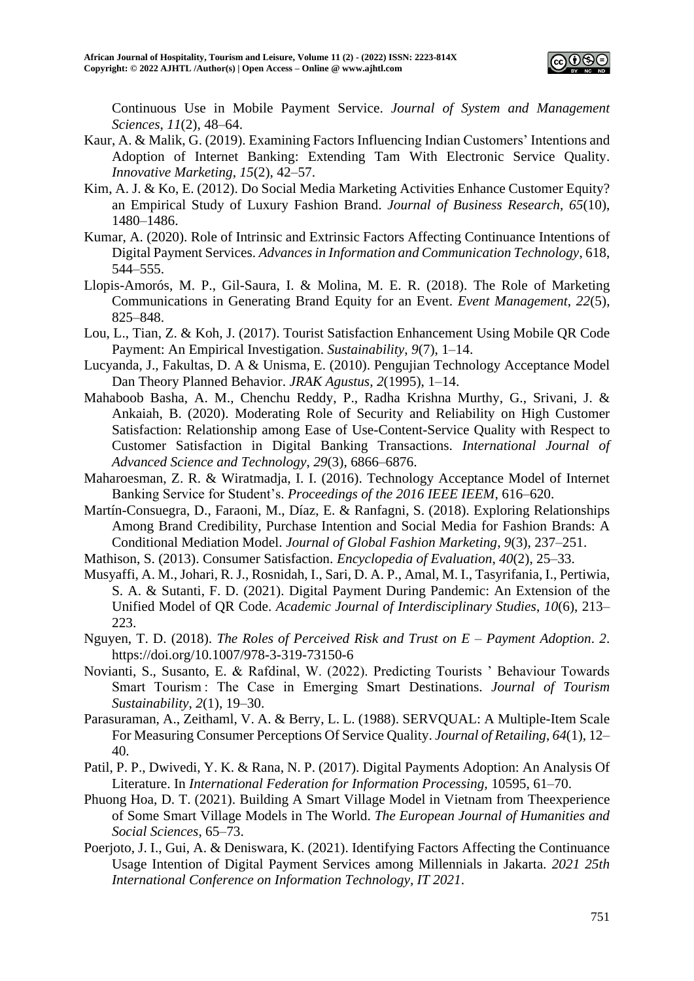

Continuous Use in Mobile Payment Service. *Journal of System and Management Sciences*, *11*(2), 48–64.

- Kaur, A. & Malik, G. (2019). Examining Factors Influencing Indian Customers' Intentions and Adoption of Internet Banking: Extending Tam With Electronic Service Quality. *Innovative Marketing*, *15*(2), 42–57.
- Kim, A. J. & Ko, E. (2012). Do Social Media Marketing Activities Enhance Customer Equity? an Empirical Study of Luxury Fashion Brand. *Journal of Business Research*, *65*(10), 1480–1486.
- Kumar, A. (2020). Role of Intrinsic and Extrinsic Factors Affecting Continuance Intentions of Digital Payment Services. *Advances in Information and Communication Technology*, 618, 544–555.
- Llopis-Amorós, M. P., Gil-Saura, I. & Molina, M. E. R. (2018). The Role of Marketing Communications in Generating Brand Equity for an Event. *Event Management*, *22*(5), 825–848.
- Lou, L., Tian, Z. & Koh, J. (2017). Tourist Satisfaction Enhancement Using Mobile QR Code Payment: An Empirical Investigation. *Sustainability*, *9*(7), 1–14.
- Lucyanda, J., Fakultas, D. A & Unisma, E. (2010). Pengujian Technology Acceptance Model Dan Theory Planned Behavior. *JRAK Agustus*, *2*(1995), 1–14.
- Mahaboob Basha, A. M., Chenchu Reddy, P., Radha Krishna Murthy, G., Srivani, J. & Ankaiah, B. (2020). Moderating Role of Security and Reliability on High Customer Satisfaction: Relationship among Ease of Use-Content-Service Quality with Respect to Customer Satisfaction in Digital Banking Transactions. *International Journal of Advanced Science and Technology*, *29*(3), 6866–6876.
- Maharoesman, Z. R. & Wiratmadja, I. I. (2016). Technology Acceptance Model of Internet Banking Service for Student's. *Proceedings of the 2016 IEEE IEEM*, 616–620.
- Martín-Consuegra, D., Faraoni, M., Díaz, E. & Ranfagni, S. (2018). Exploring Relationships Among Brand Credibility, Purchase Intention and Social Media for Fashion Brands: A Conditional Mediation Model. *Journal of Global Fashion Marketing*, *9*(3), 237–251.
- Mathison, S. (2013). Consumer Satisfaction. *Encyclopedia of Evaluation*, *40*(2), 25–33.
- Musyaffi, A. M., Johari, R. J., Rosnidah, I., Sari, D. A. P., Amal, M. I., Tasyrifania, I., Pertiwia, S. A. & Sutanti, F. D. (2021). Digital Payment During Pandemic: An Extension of the Unified Model of QR Code. *Academic Journal of Interdisciplinary Studies*, *10*(6), 213– 223.
- Nguyen, T. D. (2018). *The Roles of Perceived Risk and Trust on E – Payment Adoption*. *2*. https://doi.org/10.1007/978-3-319-73150-6
- Novianti, S., Susanto, E. & Rafdinal, W. (2022). Predicting Tourists ' Behaviour Towards Smart Tourism : The Case in Emerging Smart Destinations. *Journal of Tourism Sustainability*, *2*(1), 19–30.
- Parasuraman, A., Zeithaml, V. A. & Berry, L. L. (1988). SERVQUAL: A Multiple-Item Scale For Measuring Consumer Perceptions Of Service Quality. *Journal of Retailing*, *64*(1), 12– 40.
- Patil, P. P., Dwivedi, Y. K. & Rana, N. P. (2017). Digital Payments Adoption: An Analysis Of Literature. In *International Federation for Information Processing,* 10595, 61–70.
- Phuong Hoa, D. T. (2021). Building A Smart Village Model in Vietnam from Theexperience of Some Smart Village Models in The World. *The European Journal of Humanities and Social Sciences*, 65–73.
- Poerjoto, J. I., Gui, A. & Deniswara, K. (2021). Identifying Factors Affecting the Continuance Usage Intention of Digital Payment Services among Millennials in Jakarta. *2021 25th International Conference on Information Technology, IT 2021*.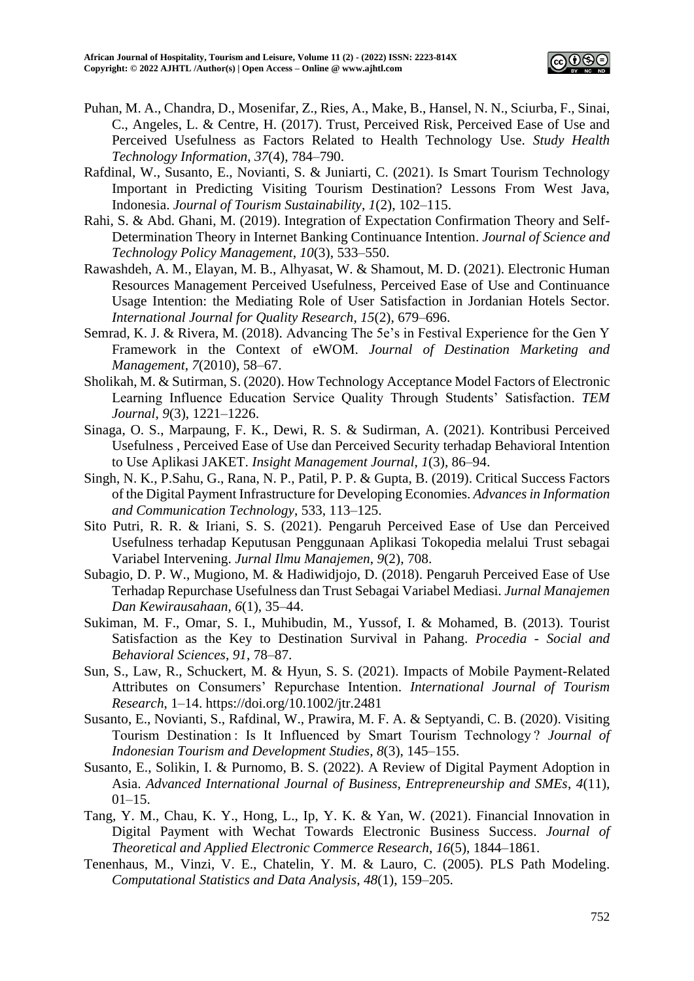

- Puhan, M. A., Chandra, D., Mosenifar, Z., Ries, A., Make, B., Hansel, N. N., Sciurba, F., Sinai, C., Angeles, L. & Centre, H. (2017). Trust, Perceived Risk, Perceived Ease of Use and Perceived Usefulness as Factors Related to Health Technology Use. *Study Health Technology Information*, *37*(4), 784–790.
- Rafdinal, W., Susanto, E., Novianti, S. & Juniarti, C. (2021). Is Smart Tourism Technology Important in Predicting Visiting Tourism Destination? Lessons From West Java, Indonesia. *Journal of Tourism Sustainability*, *1*(2), 102–115.
- Rahi, S. & Abd. Ghani, M. (2019). Integration of Expectation Confirmation Theory and Self-Determination Theory in Internet Banking Continuance Intention. *Journal of Science and Technology Policy Management*, *10*(3), 533–550.
- Rawashdeh, A. M., Elayan, M. B., Alhyasat, W. & Shamout, M. D. (2021). Electronic Human Resources Management Perceived Usefulness, Perceived Ease of Use and Continuance Usage Intention: the Mediating Role of User Satisfaction in Jordanian Hotels Sector. *International Journal for Quality Research*, *15*(2), 679–696.
- Semrad, K. J. & Rivera, M. (2018). Advancing The 5e's in Festival Experience for the Gen Y Framework in the Context of eWOM. *Journal of Destination Marketing and Management*, *7*(2010), 58–67.
- Sholikah, M. & Sutirman, S. (2020). How Technology Acceptance Model Factors of Electronic Learning Influence Education Service Quality Through Students' Satisfaction. *TEM Journal*, *9*(3), 1221–1226.
- Sinaga, O. S., Marpaung, F. K., Dewi, R. S. & Sudirman, A. (2021). Kontribusi Perceived Usefulness , Perceived Ease of Use dan Perceived Security terhadap Behavioral Intention to Use Aplikasi JAKET. *Insight Management Journal*, *1*(3), 86–94.
- Singh, N. K., P.Sahu, G., Rana, N. P., Patil, P. P. & Gupta, B. (2019). Critical Success Factors of the Digital Payment Infrastructure for Developing Economies. *Advances in Information and Communication Technology*, 533, 113–125.
- Sito Putri, R. R. & Iriani, S. S. (2021). Pengaruh Perceived Ease of Use dan Perceived Usefulness terhadap Keputusan Penggunaan Aplikasi Tokopedia melalui Trust sebagai Variabel Intervening. *Jurnal Ilmu Manajemen*, *9*(2), 708.
- Subagio, D. P. W., Mugiono, M. & Hadiwidjojo, D. (2018). Pengaruh Perceived Ease of Use Terhadap Repurchase Usefulness dan Trust Sebagai Variabel Mediasi. *Jurnal Manajemen Dan Kewirausahaan*, *6*(1), 35–44.
- Sukiman, M. F., Omar, S. I., Muhibudin, M., Yussof, I. & Mohamed, B. (2013). Tourist Satisfaction as the Key to Destination Survival in Pahang. *Procedia - Social and Behavioral Sciences*, *91*, 78–87.
- Sun, S., Law, R., Schuckert, M. & Hyun, S. S. (2021). Impacts of Mobile Payment-Related Attributes on Consumers' Repurchase Intention. *International Journal of Tourism Research*, 1–14. https://doi.org/10.1002/jtr.2481
- Susanto, E., Novianti, S., Rafdinal, W., Prawira, M. F. A. & Septyandi, C. B. (2020). Visiting Tourism Destination : Is It Influenced by Smart Tourism Technology ? *Journal of Indonesian Tourism and Development Studies*, *8*(3), 145–155.
- Susanto, E., Solikin, I. & Purnomo, B. S. (2022). A Review of Digital Payment Adoption in Asia. *Advanced International Journal of Business, Entrepreneurship and SMEs*, *4*(11),  $01-15.$
- Tang, Y. M., Chau, K. Y., Hong, L., Ip, Y. K. & Yan, W. (2021). Financial Innovation in Digital Payment with Wechat Towards Electronic Business Success. *Journal of Theoretical and Applied Electronic Commerce Research*, *16*(5), 1844–1861.
- Tenenhaus, M., Vinzi, V. E., Chatelin, Y. M. & Lauro, C. (2005). PLS Path Modeling. *Computational Statistics and Data Analysis*, *48*(1), 159–205.